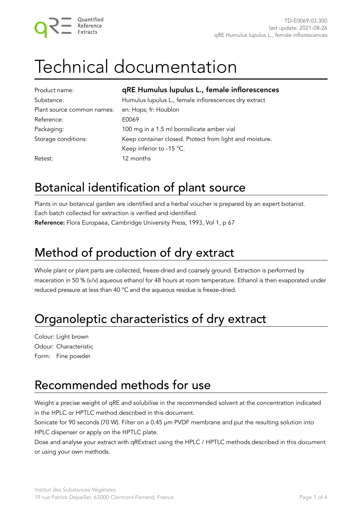## Technical documentation

| Product name:              | qRE Humulus lupulus L., female inflorescences           |
|----------------------------|---------------------------------------------------------|
| Substance:                 | Humulus lupulus L., female inflorescences dry extract   |
| Plant source common names: | en: Hops; fr: Houblon                                   |
| Reference:                 | E0069                                                   |
| Packaging:                 | 100 mg in a 1.5 ml borosilicate amber vial              |
| Storage conditions:        | Keep container closed. Protect from light and moisture. |
|                            | Keep inferior to -15 °C.                                |
| Retest:                    | 12 months                                               |

#### Botanical identification of plant source

Plants in our botanical garden are identified and a herbal voucher is prepared by an expert botanist. Each batch collected for extraction is verified and identified. Reference: Flora Europaea, Cambridge University Press, 1993, Vol 1, p 67

#### Method of production of dry extract

Whole plant or plant parts are collected, freeze-dried and coarsely ground. Extraction is performed by maceration in 50 % (v/v) aqueous ethanol for 48 hours at room temperature. Ethanol is then evaporated under reduced pressure at less than 40 °C and the aqueous residue is freeze-dried.

#### Organoleptic characteristics of dry extract

Colour: Light brown Odour: Characteristic Form: Fine powder

#### Recommended methods for use

Weight a precise weight of qRE and solubilise in the recommended solvent at the concentration indicated in the HPLC or HPTLC method described in this document.

Sonicate for 90 seconds (70 W). Filter on a 0.45 µm PVDF membrane and put the resulting solution into HPLC dispenser or apply on the HPTLC plate.

Dose and analyse your extract with qRExtract using the HPLC / HPTLC methods described in this document or using your own methods.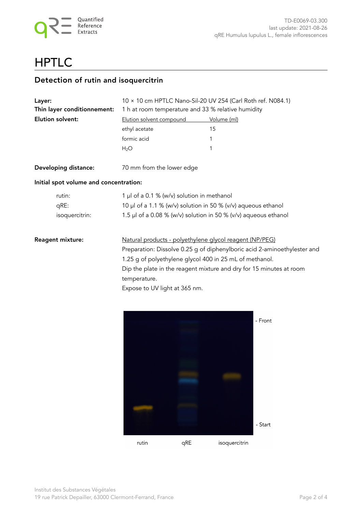#### **HPTLC**

#### Detection of rutin and isoquercitrin

| Layer:<br>Thin layer conditionnement:<br>Elution solvent: | 10 × 10 cm HPTLC Nano-Sil-20 UV 254 (Carl Roth ref. N084.1)<br>1 h at room temperature and 33 % relative humidity<br>Elution solvent compound<br>ethyl acetate<br>formic acid<br>H <sub>2</sub> O | Volume (ml)<br>15<br>1<br>1                                                                                                                     |
|-----------------------------------------------------------|---------------------------------------------------------------------------------------------------------------------------------------------------------------------------------------------------|-------------------------------------------------------------------------------------------------------------------------------------------------|
| <b>Developing distance:</b>                               | 70 mm from the lower edge                                                                                                                                                                         |                                                                                                                                                 |
| Initial spot volume and concentration:                    |                                                                                                                                                                                                   |                                                                                                                                                 |
| rutin:<br>qRE:<br>isoquercitrin:                          | 1 µl of a 0.1 % (w/v) solution in methanol<br>10 µl of a 1.1 % (w/v) solution in 50 % (v/v) aqueous ethanol<br>1.5 µl of a 0.08 % (w/v) solution in 50 % (v/v) aqueous ethanol                    |                                                                                                                                                 |
| <b>Reagent mixture:</b>                                   | Natural products - polyethylene glycol reagent (NP/PEG)<br>1.25 g of polyethylene glycol 400 in 25 mL of methanol.<br>temperature.<br>Expose to UV light at 365 nm.                               | Preparation: Dissolve 0.25 g of diphenylboric acid 2-aminoethylester and<br>Dip the plate in the reagent mixture and dry for 15 minutes at room |

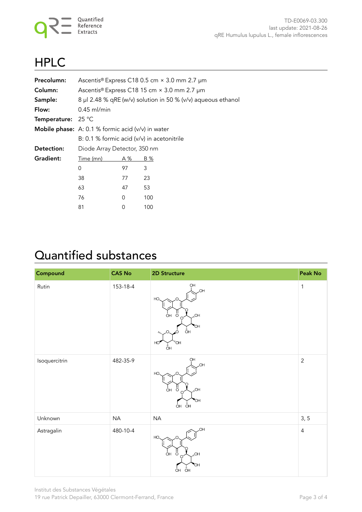# Quantified<br>Reference<br>Extracts

### HPLC

| Precolumn:   | Ascentis® Express C18 0.5 cm × 3.0 mm 2.7 µm                 |     |     |  |
|--------------|--------------------------------------------------------------|-----|-----|--|
| Column:      | Ascentis® Express C18 15 cm × 3.0 mm 2.7 µm                  |     |     |  |
| Sample:      | 8 µl 2.48 % qRE (w/v) solution in 50 % (v/v) aqueous ethanol |     |     |  |
| Flow:        | $0.45$ ml/min                                                |     |     |  |
| Temperature: | 25 °C                                                        |     |     |  |
|              | <b>Mobile phase:</b> A: 0.1 % formic acid $(v/v)$ in water   |     |     |  |
|              | B: 0.1 % formic acid (v/v) in acetonitrile                   |     |     |  |
| Detection:   | Diode Array Detector, 350 nm                                 |     |     |  |
| Gradient:    | Time (mn)                                                    | A % | B % |  |
|              | 0                                                            | 97  | 3   |  |
|              | 38                                                           | 77  | 23  |  |
|              | 63                                                           | 47  | 53  |  |
|              | 76                                                           | 0   | 100 |  |
|              | 81                                                           | 0   | 100 |  |

#### Quantified substances

| Compound      | <b>CAS No</b> | <b>2D Structure</b>                                                                                                                                                               | Peak No        |
|---------------|---------------|-----------------------------------------------------------------------------------------------------------------------------------------------------------------------------------|----------------|
| Rutin         | 153-18-4      | OH<br><b>HO</b><br>HO<br>$HO_{I}$<br>$\circ$<br>ÒН<br>$\overline{O}$<br>OH<br>$\bar{\hat{\mathbf{O}}}\mathsf{H}$<br>.O.<br>O<br>$\prime_L$<br>"OH<br>HO<br>$\frac{1}{\tilde{O}}H$ | $\mathbf{1}$   |
| Isoquercitrin | 482-35-9      | ÓН<br>ЮL,<br>HO<br>$\overline{0}$<br>$HO_{t_i}$<br>OH<br>$\Omega$<br>'ОН<br>$\overline{O}H$ $\overline{O}H$                                                                       | $\sqrt{2}$     |
| Unknown       | $\sf NA$      | $\sf NA$                                                                                                                                                                          | 3, 5           |
| Astragalin    | 480-10-4      | HO.<br>HO.<br>$\frac{1}{0}$ $\frac{1}{0}$<br>$HO_{t_i}$<br>$\overline{O}$<br>'OH<br>$\overrightarrow{O}H$ $\overrightarrow{O}H$                                                   | $\overline{4}$ |